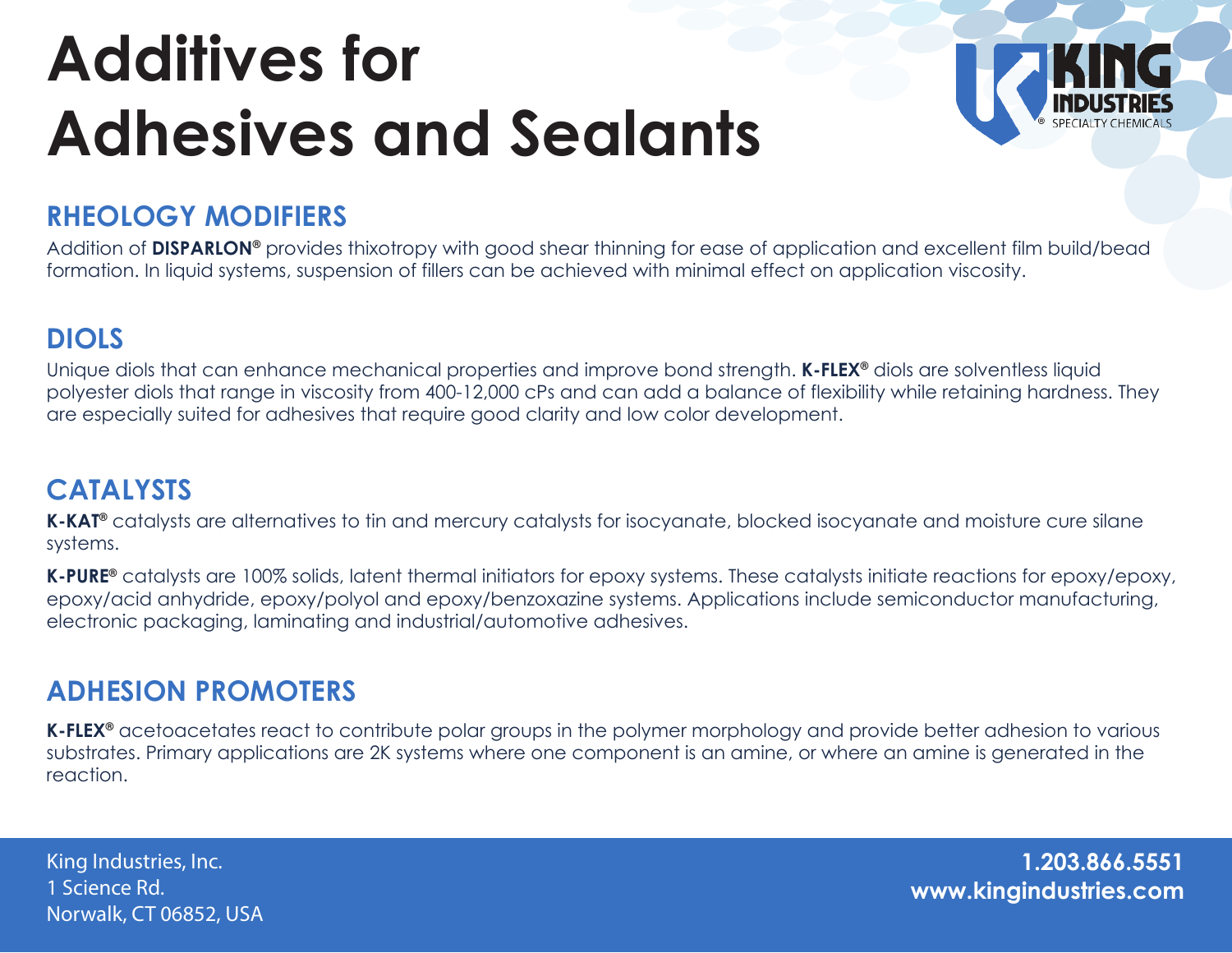# **Additives for Adhesives and Sealants**



## **RHEOLOGY MODIFIERS**

Addition of **DISPARLON®** provides thixotropy with good shear thinning for ease of application and excellent film build/bead formation. In liquid systems, suspension of fillers can be achieved with minimal effect on application viscosity.

### **DIOLS**

Unique diols that can enhance mechanical properties and improve bond strength. **K-FLEX®** diols are solventless liquid polyester diols that range in viscosity from 400-12,000 cPs and can add a balance of flexibility while retaining hardness. They are especially suited for adhesives that require good clarity and low color development.

### **CATALYSTS**

K-KAT<sup>®</sup> catalysts are alternatives to tin and mercury catalysts for isocyanate, blocked isocyanate and moisture cure silane systems.

**K-PURE®** catalysts are 100% solids, latent thermal initiators for epoxy systems. These catalysts initiate reactions for epoxy/epoxy, epoxy/acid anhydride, epoxy/polyol and epoxy/benzoxazine systems. Applications include semiconductor manufacturing, electronic packaging, laminating and industrial/automotive adhesives.

### **ADHESION PROMOTERS**

**K-FLEX®** acetoacetates react to contribute polar groups in the polymer morphology and provide better adhesion to various substrates. Primary applications are 2K systems where one component is an amine, or where an amine is generated in the reaction.

1 Science Rd. Norwalk, CT 06852, USA

**www.kingindustries.com** King Industries, Inc. **1.203.866.5551**